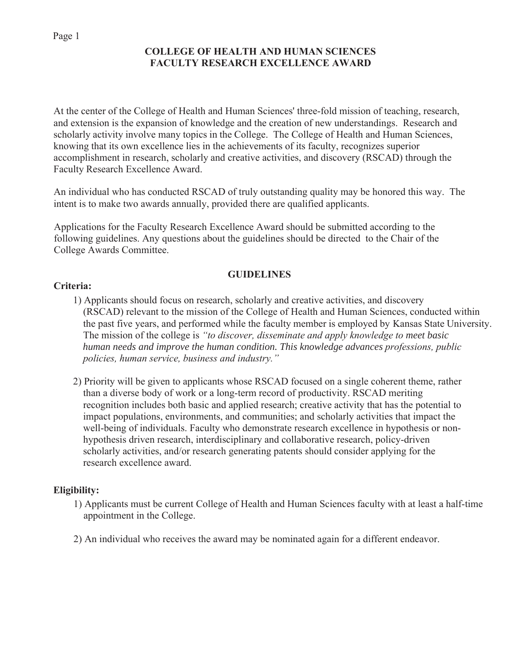## **COLLEGE OF HEALTH AND HUMAN SCIENCES FACULTY RESEARCH EXCELLENCE AWARD**

At the center of the College of Health and Human Sciences' three-fold mission of teaching, research, and extension is the expansion of knowledge and the creation of new understandings. Research and scholarly activity involve many topics in the College. The College of Health and Human Sciences, knowing that its own excellence lies in the achievements of its faculty, recognizes superior accomplishment in research, scholarly and creative activities, and discovery (RSCAD) through the Faculty Research Excellence Award.

An individual who has conducted RSCAD of truly outstanding quality may be honored this way. The intent is to make two awards annually, provided there are qualified applicants.

Applications for the Faculty Research Excellence Award should be submitted according to the following guidelines. Any questions about the guidelines should be directed to the Chair of the College Awards Committee.

# **GUIDELINES**

## **Criteria:**

- 1) Applicants should focus on research, scholarly and creative activities, and discovery (RSCAD) relevant to the mission of the College of Health and Human Sciences, conducted within the past five years, and performed while the faculty member is employed by Kansas State University. The mission of the college is *"to discover, disseminate and apply knowledge to meet basic human needs and improve the human condition. This knowledge advances professions, public policies, human service, business and industry."*
- 2) Priority will be given to applicants whose RSCAD focused on a single coherent theme, rather than a diverse body of work or a long-term record of productivity. RSCAD meriting recognition includes both basic and applied research; creative activity that has the potential to impact populations, environments, and communities; and scholarly activities that impact the well-being of individuals. Faculty who demonstrate research excellence in hypothesis or nonhypothesis driven research, interdisciplinary and collaborative research, policy-driven scholarly activities, and/or research generating patents should consider applying for the research excellence award.

# **Eligibility:**

- 1) Applicants must be current College of Health and Human Sciences faculty with at least a half-time appointment in the College.
- 2) An individual who receives the award may be nominated again for a different endeavor.